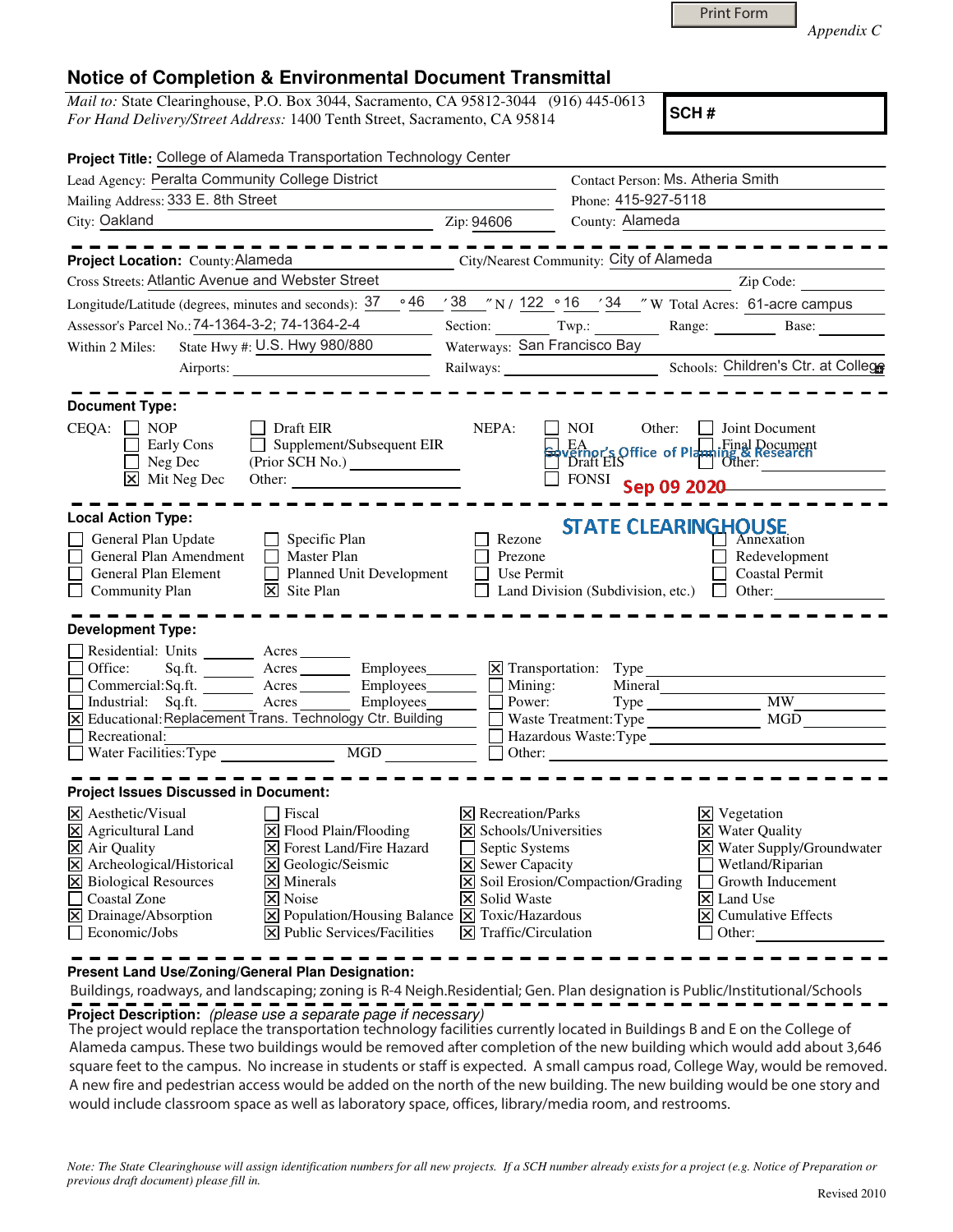*Appendix C* 

## **Notice of Completion & Environmental Document Transmittal**

*Mail to:* State Clearinghouse, P.O. Box 3044, Sacramento, CA 95812-3044 (916) 445-0613 *For Hand Delivery/Street Address:* 1400 Tenth Street, Sacramento, CA 95814

**SCH #**

| Project Title: College of Alameda Transportation Technology Center |                                                    |                                                                                                                                                                                                                                                                                                                                                                                                                                                                                                                                                                                                                                                                                                                                                                                                                                                                                                                                                                                                                                                                                                                               |
|--------------------------------------------------------------------|----------------------------------------------------|-------------------------------------------------------------------------------------------------------------------------------------------------------------------------------------------------------------------------------------------------------------------------------------------------------------------------------------------------------------------------------------------------------------------------------------------------------------------------------------------------------------------------------------------------------------------------------------------------------------------------------------------------------------------------------------------------------------------------------------------------------------------------------------------------------------------------------------------------------------------------------------------------------------------------------------------------------------------------------------------------------------------------------------------------------------------------------------------------------------------------------|
| Lead Agency: Peralta Community College District                    |                                                    |                                                                                                                                                                                                                                                                                                                                                                                                                                                                                                                                                                                                                                                                                                                                                                                                                                                                                                                                                                                                                                                                                                                               |
| Phone: 415-927-5118                                                |                                                    |                                                                                                                                                                                                                                                                                                                                                                                                                                                                                                                                                                                                                                                                                                                                                                                                                                                                                                                                                                                                                                                                                                                               |
| Zip: 94606<br><u> 1980 - John Stein, amerikansk politiker (</u>    | County: Alameda                                    |                                                                                                                                                                                                                                                                                                                                                                                                                                                                                                                                                                                                                                                                                                                                                                                                                                                                                                                                                                                                                                                                                                                               |
|                                                                    |                                                    |                                                                                                                                                                                                                                                                                                                                                                                                                                                                                                                                                                                                                                                                                                                                                                                                                                                                                                                                                                                                                                                                                                                               |
|                                                                    |                                                    | Zip Code:                                                                                                                                                                                                                                                                                                                                                                                                                                                                                                                                                                                                                                                                                                                                                                                                                                                                                                                                                                                                                                                                                                                     |
|                                                                    |                                                    |                                                                                                                                                                                                                                                                                                                                                                                                                                                                                                                                                                                                                                                                                                                                                                                                                                                                                                                                                                                                                                                                                                                               |
|                                                                    |                                                    |                                                                                                                                                                                                                                                                                                                                                                                                                                                                                                                                                                                                                                                                                                                                                                                                                                                                                                                                                                                                                                                                                                                               |
| Waterways: San Francisco Bay                                       |                                                    |                                                                                                                                                                                                                                                                                                                                                                                                                                                                                                                                                                                                                                                                                                                                                                                                                                                                                                                                                                                                                                                                                                                               |
|                                                                    |                                                    |                                                                                                                                                                                                                                                                                                                                                                                                                                                                                                                                                                                                                                                                                                                                                                                                                                                                                                                                                                                                                                                                                                                               |
| NEPA:                                                              | <b>NOI</b><br>Other:                               | $\Box$ Joint Document                                                                                                                                                                                                                                                                                                                                                                                                                                                                                                                                                                                                                                                                                                                                                                                                                                                                                                                                                                                                                                                                                                         |
| $\Box$ Supplement/Subsequent EIR<br>(Prior SCH No.)                | FONSI                                              | EA<br>Verhor's Office of Planning & Research<br>Draft EIS<br>Other:<br>Sep 09 2020                                                                                                                                                                                                                                                                                                                                                                                                                                                                                                                                                                                                                                                                                                                                                                                                                                                                                                                                                                                                                                            |
|                                                                    |                                                    |                                                                                                                                                                                                                                                                                                                                                                                                                                                                                                                                                                                                                                                                                                                                                                                                                                                                                                                                                                                                                                                                                                                               |
| Rezone<br>Prezone<br>Planned Unit Development<br>$\Box$            |                                                    | Redevelopment<br><b>Coastal Permit</b>                                                                                                                                                                                                                                                                                                                                                                                                                                                                                                                                                                                                                                                                                                                                                                                                                                                                                                                                                                                                                                                                                        |
|                                                                    |                                                    |                                                                                                                                                                                                                                                                                                                                                                                                                                                                                                                                                                                                                                                                                                                                                                                                                                                                                                                                                                                                                                                                                                                               |
|                                                                    | Mineral                                            | Type MW<br>MGD                                                                                                                                                                                                                                                                                                                                                                                                                                                                                                                                                                                                                                                                                                                                                                                                                                                                                                                                                                                                                                                                                                                |
|                                                                    |                                                    |                                                                                                                                                                                                                                                                                                                                                                                                                                                                                                                                                                                                                                                                                                                                                                                                                                                                                                                                                                                                                                                                                                                               |
|                                                                    |                                                    | $\times$ Vegetation<br>X Water Quality<br>X Water Supply/Groundwater<br>Wetland/Riparian<br>Growth Inducement<br>$\mathsf{L}$<br>$\overline{\mathsf{x}}$ Land Use<br><b>X</b> Cumulative Effects<br>Other:                                                                                                                                                                                                                                                                                                                                                                                                                                                                                                                                                                                                                                                                                                                                                                                                                                                                                                                    |
|                                                                    | $\overline{\mathsf{X}}$ Public Services/Facilities | Contact Person: Ms. Atheria Smith<br>City/Nearest Community: City of Alameda<br>Longitude/Latitude (degrees, minutes and seconds): $37 \cdot 96$ / $38 \cdot 7$ N / $122 \cdot 16$ / $34 \cdot 7$ W Total Acres: 61-acre campus<br>Section: Twp.: Range: Base: Base:<br>Railways: Schools: Children's Ctr. at College<br><b>STATE CLEARINGHOUSE</b><br>Use Permit<br>Land Division (Subdivision, etc.) $\Box$ Other:<br>$\overline{\mathsf{X}}$ Transportation: Type<br>$Commercial:Sq.fit.$ $\overline{\qquad}$ Acres $\overline{\qquad}$ Employees $\overline{\qquad}$ Mining:<br>■ Industrial: Sq.ft. Acres Employees Burnup Power:<br>■ Employees Burnup Power: Neplacement Trans. Technology Ctr. Building<br>Waste Treatment: Type<br>Hazardous Waste:Type<br>$\Box$ Other:<br>$ \mathsf{X} $ Recreation/Parks<br>$\bar{x}$ Schools/Universities<br>$\Box$ Septic Systems<br>$\overline{\mathsf{X}}$ Sewer Capacity<br>$\boxed{\times}$ Soil Erosion/Compaction/Grading<br><b>X</b> Solid Waste<br>$\boxed{\times}$ Population/Housing Balance $\boxed{\times}$ Toxic/Hazardous<br>$\boxed{\times}$ Traffic/Circulation |

**Present Land Use/Zoning/General Plan Designation:**

 Buildings, roadways, and landscaping; zoning is R-4 Neigh.Residential; Gen. Plan designation is Public/Institutional/Schools **Project Description:** (please use a separate page if necessary)

 The project would replace the transportation technology facilities currently located in Buildings B and E on the College of Alameda campus. These two buildings would be removed after completion of the new building which would add about 3,646 square feet to the campus. No increase in students or staff is expected. A small campus road, College Way, would be removed. A new fire and pedestrian access would be added on the north of the new building. The new building would be one story and would include classroom space as well as laboratory space, offices, library/media room, and restrooms.

*Note: The State Clearinghouse will assign identification numbers for all new projects. If a SCH number already exists for a project (e.g. Notice of Preparation or previous draft document) please fill in.*